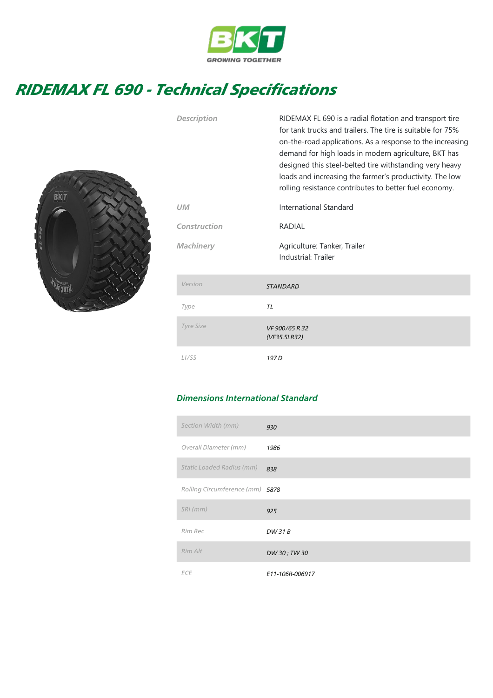

## RIDEMAX FL 690 - Technical Specifications



| <b>Description</b> | RIDEMAX FL 690 is a radial flotation and transport tire<br>for tank trucks and trailers. The tire is suitable for 75%<br>on-the-road applications. As a response to the increasing<br>demand for high loads in modern agriculture, BKT has<br>designed this steel-belted tire withstanding very heavy<br>loads and increasing the farmer's productivity. The low<br>rolling resistance contributes to better fuel economy. |  |  |  |
|--------------------|----------------------------------------------------------------------------------------------------------------------------------------------------------------------------------------------------------------------------------------------------------------------------------------------------------------------------------------------------------------------------------------------------------------------------|--|--|--|
| <b>UM</b>          | International Standard                                                                                                                                                                                                                                                                                                                                                                                                     |  |  |  |
| Construction       | RADIAL                                                                                                                                                                                                                                                                                                                                                                                                                     |  |  |  |
| <b>Machinery</b>   | Agriculture: Tanker, Trailer<br>Industrial: Trailer                                                                                                                                                                                                                                                                                                                                                                        |  |  |  |
| Version            | <b>STANDARD</b>                                                                                                                                                                                                                                                                                                                                                                                                            |  |  |  |
| Type               | <b>TL</b>                                                                                                                                                                                                                                                                                                                                                                                                                  |  |  |  |
| <b>Tyre Size</b>   | VF 900/65 R 32<br>(VF35.5LR32)                                                                                                                                                                                                                                                                                                                                                                                             |  |  |  |
| L <sub>1</sub> /SS | 197 <sub>D</sub>                                                                                                                                                                                                                                                                                                                                                                                                           |  |  |  |

## Dimensions International Standard

| Section Width (mm)              | 930             |
|---------------------------------|-----------------|
| Overall Diameter (mm)           | 1986            |
| Static Loaded Radius (mm)       | 838             |
| Rolling Circumference (mm) 5878 |                 |
| $SRI$ (mm)                      | 925             |
| Rim Rec                         | DW 31 B         |
| Rim Alt                         | DW 30; TW 30    |
| <b>ECE</b>                      | E11-106R-006917 |